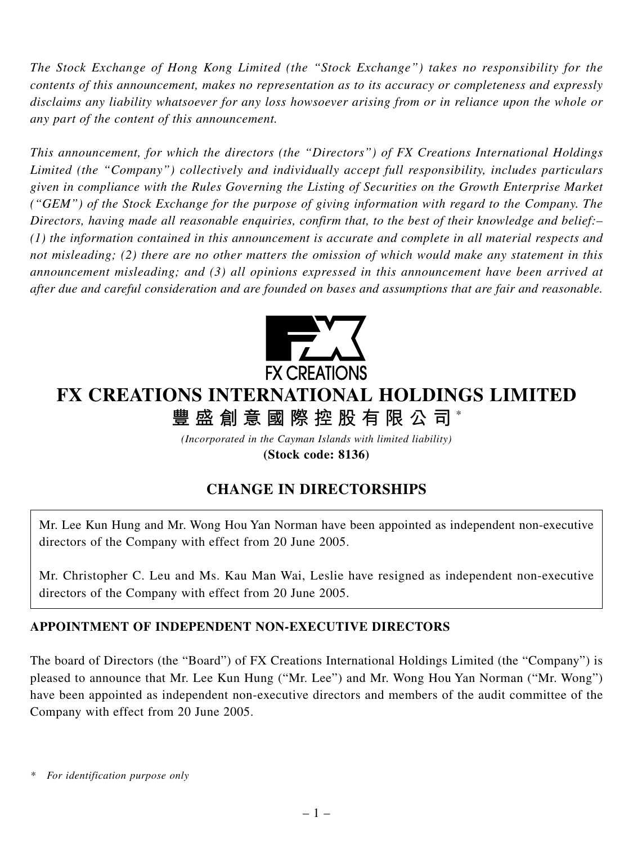*The Stock Exchange of Hong Kong Limited (the "Stock Exchange") takes no responsibility for the contents of this announcement, makes no representation as to its accuracy or completeness and expressly disclaims any liability whatsoever for any loss howsoever arising from or in reliance upon the whole or any part of the content of this announcement.*

*This announcement, for which the directors (the "Directors") of FX Creations International Holdings Limited (the "Company") collectively and individually accept full responsibility, includes particulars given in compliance with the Rules Governing the Listing of Securities on the Growth Enterprise Market ("GEM") of the Stock Exchange for the purpose of giving information with regard to the Company. The Directors, having made all reasonable enquiries, confirm that, to the best of their knowledge and belief:– (1) the information contained in this announcement is accurate and complete in all material respects and not misleading; (2) there are no other matters the omission of which would make any statement in this announcement misleading; and (3) all opinions expressed in this announcement have been arrived at after due and careful consideration and are founded on bases and assumptions that are fair and reasonable.*



# **FX CREATIONS INTERNATIONAL HOLDINGS LIMITED 豐盛創意國際控股有限公司** \*

*(Incorporated in the Cayman Islands with limited liability)*

**(Stock code: 8136)**

# **CHANGE IN DIRECTORSHIPS**

Mr. Lee Kun Hung and Mr. Wong Hou Yan Norman have been appointed as independent non-executive directors of the Company with effect from 20 June 2005.

Mr. Christopher C. Leu and Ms. Kau Man Wai, Leslie have resigned as independent non-executive directors of the Company with effect from 20 June 2005.

## **APPOINTMENT OF INDEPENDENT NON-EXECUTIVE DIRECTORS**

The board of Directors (the "Board") of FX Creations International Holdings Limited (the "Company") is pleased to announce that Mr. Lee Kun Hung ("Mr. Lee") and Mr. Wong Hou Yan Norman ("Mr. Wong") have been appointed as independent non-executive directors and members of the audit committee of the Company with effect from 20 June 2005.

*\* For identification purpose only*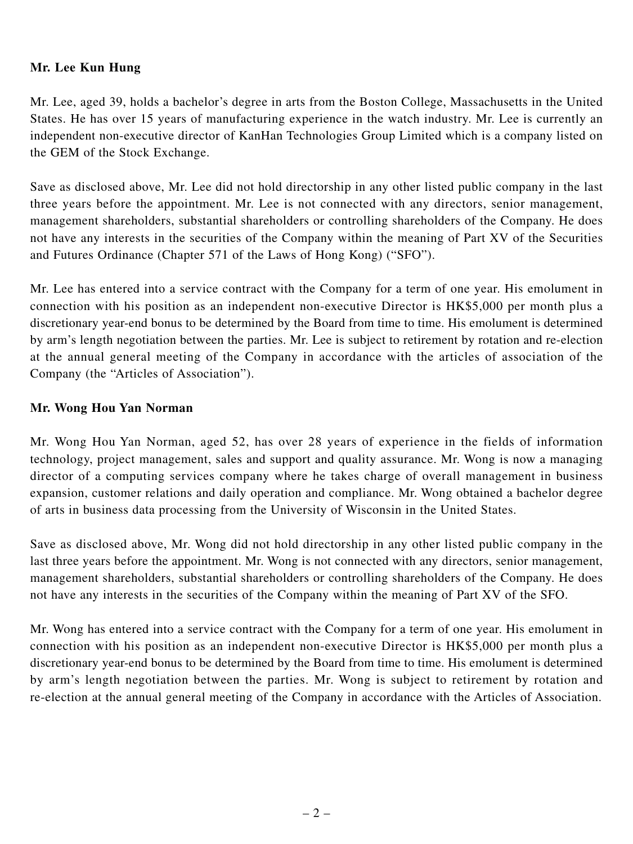#### **Mr. Lee Kun Hung**

Mr. Lee, aged 39, holds a bachelor's degree in arts from the Boston College, Massachusetts in the United States. He has over 15 years of manufacturing experience in the watch industry. Mr. Lee is currently an independent non-executive director of KanHan Technologies Group Limited which is a company listed on the GEM of the Stock Exchange.

Save as disclosed above, Mr. Lee did not hold directorship in any other listed public company in the last three years before the appointment. Mr. Lee is not connected with any directors, senior management, management shareholders, substantial shareholders or controlling shareholders of the Company. He does not have any interests in the securities of the Company within the meaning of Part XV of the Securities and Futures Ordinance (Chapter 571 of the Laws of Hong Kong) ("SFO").

Mr. Lee has entered into a service contract with the Company for a term of one year. His emolument in connection with his position as an independent non-executive Director is HK\$5,000 per month plus a discretionary year-end bonus to be determined by the Board from time to time. His emolument is determined by arm's length negotiation between the parties. Mr. Lee is subject to retirement by rotation and re-election at the annual general meeting of the Company in accordance with the articles of association of the Company (the "Articles of Association").

#### **Mr. Wong Hou Yan Norman**

Mr. Wong Hou Yan Norman, aged 52, has over 28 years of experience in the fields of information technology, project management, sales and support and quality assurance. Mr. Wong is now a managing director of a computing services company where he takes charge of overall management in business expansion, customer relations and daily operation and compliance. Mr. Wong obtained a bachelor degree of arts in business data processing from the University of Wisconsin in the United States.

Save as disclosed above, Mr. Wong did not hold directorship in any other listed public company in the last three years before the appointment. Mr. Wong is not connected with any directors, senior management, management shareholders, substantial shareholders or controlling shareholders of the Company. He does not have any interests in the securities of the Company within the meaning of Part XV of the SFO.

Mr. Wong has entered into a service contract with the Company for a term of one year. His emolument in connection with his position as an independent non-executive Director is HK\$5,000 per month plus a discretionary year-end bonus to be determined by the Board from time to time. His emolument is determined by arm's length negotiation between the parties. Mr. Wong is subject to retirement by rotation and re-election at the annual general meeting of the Company in accordance with the Articles of Association.